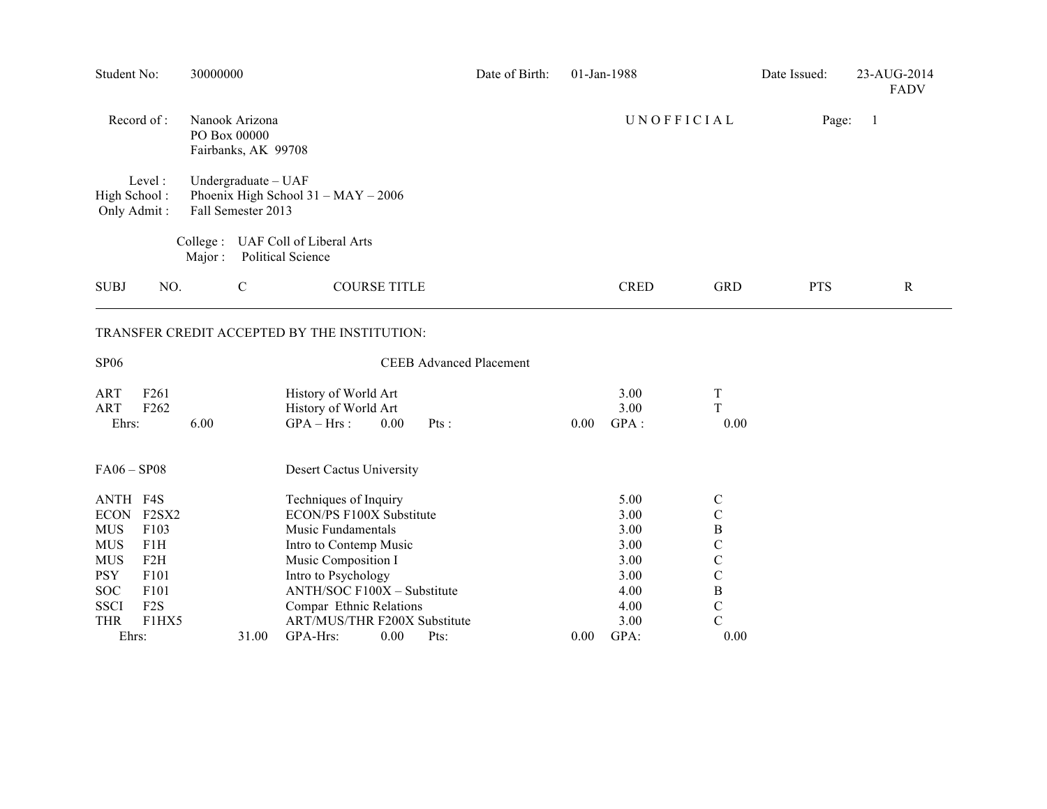| Student No:                                                                                                 |                                                                                           | 30000000                                  |              |                                                                                                                                                                                                                                           | Date of Birth:                 |      | 01-Jan-1988                                                          |                                                                                                                                              | Date Issued: | 23-AUG-2014<br><b>FADV</b> |
|-------------------------------------------------------------------------------------------------------------|-------------------------------------------------------------------------------------------|-------------------------------------------|--------------|-------------------------------------------------------------------------------------------------------------------------------------------------------------------------------------------------------------------------------------------|--------------------------------|------|----------------------------------------------------------------------|----------------------------------------------------------------------------------------------------------------------------------------------|--------------|----------------------------|
| Record of:<br>Nanook Arizona<br>PO Box 00000<br>Fairbanks, AK 99708                                         |                                                                                           |                                           |              |                                                                                                                                                                                                                                           |                                |      | UNOFFICIAL                                                           |                                                                                                                                              | Page:<br>1   |                            |
| High School:<br>Only Admit:                                                                                 | Level:                                                                                    | Undergraduate - UAF<br>Fall Semester 2013 |              | Phoenix High School 31 - MAY - 2006                                                                                                                                                                                                       |                                |      |                                                                      |                                                                                                                                              |              |                            |
|                                                                                                             |                                                                                           | Collect:<br>Major:                        |              | UAF Coll of Liberal Arts<br>Political Science                                                                                                                                                                                             |                                |      |                                                                      |                                                                                                                                              |              |                            |
| <b>SUBJ</b>                                                                                                 | NO.                                                                                       |                                           | $\mathsf{C}$ | <b>COURSE TITLE</b>                                                                                                                                                                                                                       |                                |      | <b>CRED</b>                                                          | <b>GRD</b>                                                                                                                                   | <b>PTS</b>   | $\mathbf R$                |
|                                                                                                             |                                                                                           |                                           |              | TRANSFER CREDIT ACCEPTED BY THE INSTITUTION:                                                                                                                                                                                              |                                |      |                                                                      |                                                                                                                                              |              |                            |
| <b>SP06</b>                                                                                                 |                                                                                           |                                           |              |                                                                                                                                                                                                                                           | <b>CEEB Advanced Placement</b> |      |                                                                      |                                                                                                                                              |              |                            |
| <b>ART</b><br><b>ART</b><br>Ehrs:                                                                           | F <sub>261</sub><br>F262                                                                  | 6.00                                      |              | History of World Art<br>History of World Art<br>$GPA - Hrs$ :<br>0.00                                                                                                                                                                     | Pts:                           | 0.00 | 3.00<br>3.00<br>GPA:                                                 | T<br>T<br>0.00                                                                                                                               |              |                            |
| $FA06 - SP08$                                                                                               |                                                                                           |                                           |              | Desert Cactus University                                                                                                                                                                                                                  |                                |      |                                                                      |                                                                                                                                              |              |                            |
| ANTH F4S<br><b>MUS</b><br><b>MUS</b><br><b>MUS</b><br><b>PSY</b><br><b>SOC</b><br><b>SSCI</b><br><b>THR</b> | ECON F2SX2<br>F103<br>F1H<br>F2H<br>F <sub>101</sub><br>F101<br>F <sub>2</sub> S<br>F1HX5 |                                           |              | Techniques of Inquiry<br>ECON/PS F100X Substitute<br>Music Fundamentals<br>Intro to Contemp Music<br>Music Composition I<br>Intro to Psychology<br>ANTH/SOC F100X - Substitute<br>Compar Ethnic Relations<br>ART/MUS/THR F200X Substitute |                                |      | 5.00<br>3.00<br>3.00<br>3.00<br>3.00<br>3.00<br>4.00<br>4.00<br>3.00 | $\mathsf{C}$<br>$\mathbf C$<br>$\, {\bf B}$<br>$\mathsf{C}$<br>$\mathcal{C}$<br>$\mathbf C$<br>$\, {\bf B}$<br>$\mathbf C$<br>$\overline{C}$ |              |                            |
| Ehrs:                                                                                                       |                                                                                           |                                           | 31.00        | GPA-Hrs:<br>0.00                                                                                                                                                                                                                          | Pts:                           | 0.00 | GPA:                                                                 | 0.00                                                                                                                                         |              |                            |